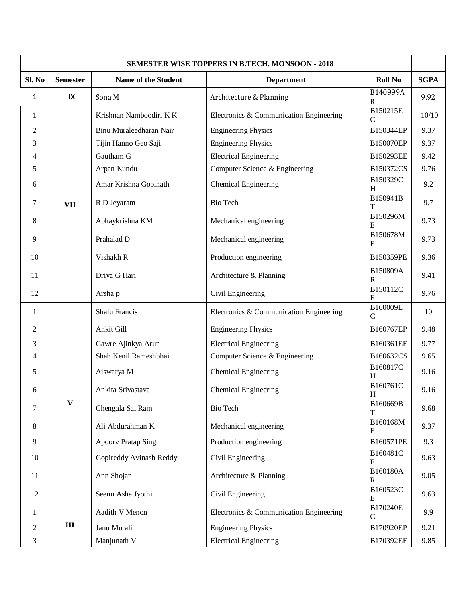|                | <b>SEMESTER WISE TOPPERS IN B.TECH. MONSOON - 2018</b> |                         |                                         |                          |             |  |
|----------------|--------------------------------------------------------|-------------------------|-----------------------------------------|--------------------------|-------------|--|
| Sl. No         | <b>Semester</b>                                        | Name of the Student     | <b>Department</b>                       | <b>Roll No</b>           | <b>SGPA</b> |  |
| 1              | IX                                                     | Sona M                  | Architecture & Planning                 | B140999A<br>$\mathbf R$  | 9.92        |  |
| $\mathbf{1}$   |                                                        | Krishnan Namboodiri KK  | Electronics & Communication Engineering | B150215E<br>$\mathsf{C}$ | 10/10       |  |
| $\overline{c}$ |                                                        | Binu Muraleedharan Nair | <b>Engineering Physics</b>              | B150344EP                | 9.37        |  |
| 3              |                                                        | Tijin Hanno Geo Saji    | <b>Engineering Physics</b>              | B150070EP                | 9.37        |  |
| 4              | <b>VII</b>                                             | Gautham G               | <b>Electrical Engineering</b>           | B150293EE                | 9.42        |  |
| 5              |                                                        | Arpan Kundu             | Computer Science & Engineering          | B150372CS                | 9.76        |  |
| 6              |                                                        | Amar Krishna Gopinath   | <b>Chemical Engineering</b>             | B150329C<br>H            | 9.2         |  |
| 7              |                                                        | R D Jeyaram             | <b>Bio Tech</b>                         | B150941B<br>т            | 9.7         |  |
| 8              |                                                        | Abhaykrishna KM         | Mechanical engineering                  | B150296M<br>E            | 9.73        |  |
| 9              |                                                        | Prahalad D              | Mechanical engineering                  | B150678M<br>E            | 9.73        |  |
| 10             |                                                        | Vishakh R               | Production engineering                  | B150359PE                | 9.36        |  |
| 11             |                                                        | Driya G Hari            | Architecture & Planning                 | B150809A<br>$\mathbf{R}$ | 9.41        |  |
| 12             |                                                        | Arsha p                 | Civil Engineering                       | B150112C<br>E            | 9.76        |  |
| 1              |                                                        | Shalu Francis           | Electronics & Communication Engineering | B160009E<br>$\mathsf{C}$ | 10          |  |
| $\overline{c}$ |                                                        | Ankit Gill              | <b>Engineering Physics</b>              | B160767EP                | 9.48        |  |
| 3              |                                                        | Gawre Ajinkya Arun      | <b>Electrical Engineering</b>           | B160361EE                | 9.77        |  |
| 4              |                                                        | Shah Kenil Rameshbhai   | Computer Science & Engineering          | B160632CS                | 9.65        |  |
| 5              | $\mathbf{V}$                                           | Aiswarya M              | <b>Chemical Engineering</b>             | B160817C<br>H            | 9.16        |  |
| 6              |                                                        | Ankita Srivastava       | <b>Chemical Engineering</b>             | B160761C<br>H            | 9.16        |  |
| 7              |                                                        | Chengala Sai Ram        | <b>Bio Tech</b>                         | B160669B                 | 9.68        |  |
| 8              |                                                        | Ali Abdurahman K        | Mechanical engineering                  | B160168M<br>E            | 9.37        |  |
| 9              |                                                        | Apoorv Pratap Singh     | Production engineering                  | B160571PE                | 9.3         |  |
| 10             |                                                        | Gopireddy Avinash Reddy | Civil Engineering                       | B160481C<br>E            | 9.63        |  |
| 11             |                                                        | Ann Shojan              | Architecture & Planning                 | B160180A<br>R            | 9.05        |  |
| 12             |                                                        | Seenu Asha Jyothi       | Civil Engineering                       | B160523C<br>E            | 9.63        |  |
| 1              | $\rm III$                                              | Aadith V Menon          | Electronics & Communication Engineering | B170240E<br>$\mathsf{C}$ | 9.9         |  |
| 2              |                                                        | Janu Murali             | <b>Engineering Physics</b>              | B170920EP                | 9.21        |  |
| 3              |                                                        | Manjunath V             | <b>Electrical Engineering</b>           | B170392EE                | 9.85        |  |